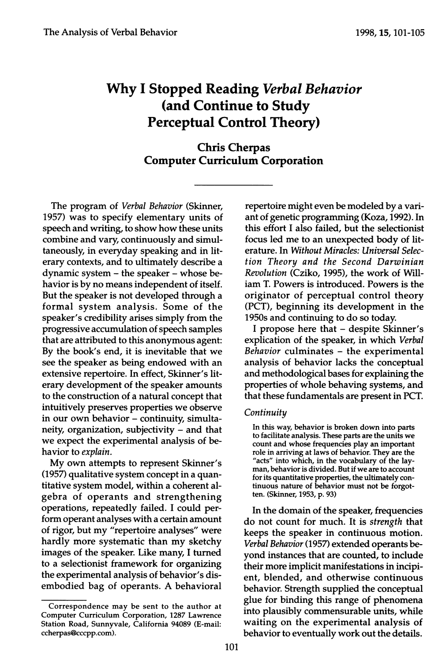# Why <sup>I</sup> Stopped Reading Verbal Behavior (and Continue to Study Perceptual Control Theory)

# Chris Cherpas Computer Curriculum Corporation

The program of Verbal Behavior (Skinner, 1957) was to specify elementary units of speech and writing, to show how these units combine and vary, continuously and simultaneously, in everyday speaking and in literary contexts, and to ultimately describe a dynamic system - the speaker - whose behavior is by no means independent of itself. But the speaker is not developed through a formal system analysis. Some of the speaker's credibility arises simply from the progressive accumulation of speech samples that are attributed to this anonymous agent: By the book's end, it is inevitable that we see the speaker as being endowed with an extensive repertoire. In effect, Skinner's literary development of the speaker amounts to the construction of a natural concept that intuitively preserves properties we observe in our own behavior - continuity, simultaneity, organization, subjectivity - and that we expect the experimental analysis of behavior to explain.

My own attempts to represent Skinner's (1957) qualitative system concept in a quantitative system model, within a coherent algebra of operants and strengthening operations, repeatedly failed. <sup>I</sup> could perform operant analyses with a certain amount of rigor, but my "repertoire analyses" were hardly more systematic than my sketchy images of the speaker. Like many, <sup>I</sup> turned to a selectionist framework for organizing the experimental analysis of behavior's disembodied bag of operants. A behavioral

repertoire might even be modeled by a variant of genetic programming (Koza, 1992). In this effort <sup>I</sup> also failed, but the selectionist focus led me to an unexpected body of literature. In Without Miracles: Universal Selection Theory and the Second Darwinian Revolution (Cziko, 1995), the work of William T. Powers is introduced. Powers is the originator of perceptual control theory (PCT), beginning its development in the 1950s and continuing to do so today.

I propose here that - despite Skinner's explication of the speaker, in which Verbal  $Behavior$  culminates  $-$  the experimental analysis of behavior lacks the conceptual and methodological bases for explaining the properties of whole behaving systems, and that these fundamentals are present in PCT.

# **Continuity**

In this way, behavior is broken down into parts to facilitate analysis. These parts are the units we count and whose frequencies play an important role in arriving at laws of behavior. They are the "acts" into which, in the vocabulary of the layman, behavior is divided. But if we are to account for its quantitative properties, the ultimately continuous nature of behavior must not be forgotten. (Skinner, 1953, p. 93)

In the domain of the speaker, frequencies do not count for much. It is strength that keeps the speaker in continuous motion. Verbal Behavior (1957) extended operants beyond instances that are counted, to include their more implicit manifestations in incipient, blended, and otherwise continuous behavior. Strength supplied the conceptual glue for binding this range of phenomena into plausibly commensurable units, while waiting on the experimental analysis of behavior to eventually work out the details.

Correspondence may be sent to the author at Computer Curriculum Corporation, 1287 Lawrence Station Road, Sunnyvale, California 94089 (E-mail: ccherpas@cccpp.com).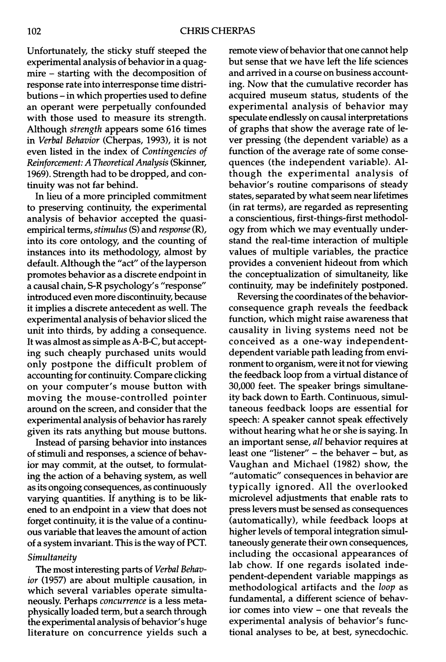Unfortunately, the sticky stuff steeped the experimental analysis of behavior in a quagmire - starting with the decomposition of response rate into interresponse time distributions - in which properties used to define an operant were perpetually confounded with those used to measure its strength. Although strength appears some 616 times in Verbal Behavior (Cherpas, 1993), it is not even listed in the index of Contingencies of Reinforcement: A Theoretical Analysis (Skinner, 1969). Strength had to be dropped, and continuity was not far behind.

In lieu of a more principled commitment to preserving continuity, the experimental analysis of behavior accepted the quasiempirical terms, stimulus (S) and response (R), into its core ontology, and the counting of instances into its methodology, almost by default. Although the "act" of the layperson promotes behavior as a discrete endpoint in a causal chain, S-R psychology's "response" introduced even more discontinuity, because it implies a discrete antecedent as well. The experimental analysis of behavior sliced the unit into thirds, by adding a consequence. It was almost as simple as A-B-C, but accepting such cheaply purchased units would only postpone the difficult problem of accounting for continuity. Compare clicking on your computer's mouse button with moving the mouse-controlled pointer around on the screen, and consider that the experimental analysis of behavior has rarely given its rats anything but mouse buttons.

Instead of parsing behavior into instances of stimuli and responses, a science of behavior may commit, at the outset, to formulating the action of a behaving system, as well as its ongoing consequences, as continuously varying quantities. If anything is to be likened to an endpoint in a view that does not forget continuity, it is the value of a continuous variable that leaves the amount of action of a system invariant. This is the way of PCT.

## Simultaneity

The most interesting parts of Verbal Behavior (1957) are about multiple causation, in which several variables operate simultaneously. Perhaps concurrence is a less metaphysically loaded term, but a search through the experimental analysis of behavior's huge literature on concurrence yields such a remote view of behavior that one cannot help but sense that we have left the life sciences and arrived in a course on business accounting. Now that the cumulative recorder has acquired museum status, students of the experimental analysis of behavior may speculate endlessly on causal interpretations of graphs that show the average rate of lever pressing (the dependent variable) as a function of the average rate of some consequences (the independent variable). Although the experimental analysis of behavior's routine comparisons of steady states, separated by what seem near lifetimes (in rat terms), are regarded as representing a conscientious, first-things-first methodology from which we may eventually understand the real-time interaction of multiple values of multiple variables, the practice provides a convenient hideout from which the conceptualization of simultaneity, like continuity, may be indefinitely postponed.

Reversing the coordinates of the behaviorconsequence graph reveals the feedback function, which might raise awareness that causality in living systems need not be conceived as a one-way independentdependent variable path leading from environment to organism, were it not for viewing the feedback loop from a virtual distance of 30,000 feet. The speaker brings simultaneity back down to Earth. Continuous, simultaneous feedback loops are essential for speech: A speaker cannot speak effectively without hearing what he or she is saying. In an important sense, all behavior requires at least one "listener" - the behaver - but, as Vaughan and Michael (1982) show, the "automatic" consequences in behavior are typically ignored. All the overlooked microlevel adjustments that enable rats to press levers must be sensed as consequences (automatically), while feedback loops at higher levels of temporal integration simultaneously generate their own consequences, including the occasional appearances of lab chow. If one regards isolated independent-dependent variable mappings as methodological artifacts and the loop as fundamental, a different science of behavior comes into view - one that reveals the experimental analysis of behavior's functional analyses to be, at best, synecdochic.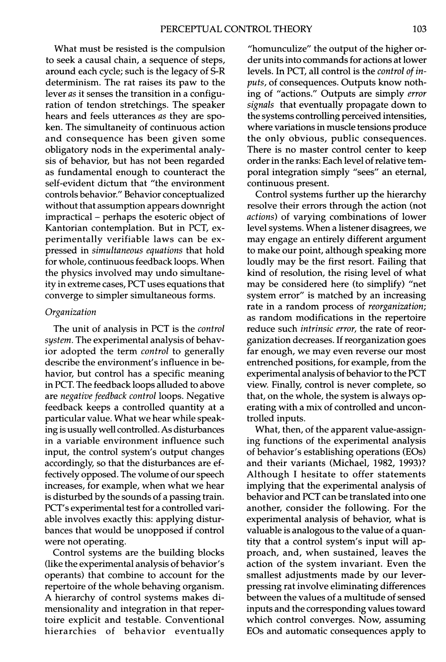What must be resisted is the compulsion to seek a causal chain, a sequence of steps, around each cycle; such is the legacy of S-R determinism. The rat raises its paw to the lever as it senses the transition in a configuration of tendon stretchings. The speaker hears and feels utterances as they are spoken. The simultaneity of continuous action and consequence has been given some obligatory nods in the experimental analysis of behavior, but has not been regarded as fundamental enough to counteract the self-evident dictum that "the environment controls behavior." Behavior conceptualized without that assumption appears downright impractical - perhaps the esoteric object of Kantorian contemplation. But in PCT, experimentally verifiable laws can be expressed in simultaneous equations that hold for whole, continuous feedback loops. When the physics involved may undo simultaneity in extreme cases, PCT uses equations that converge to simpler simultaneous forms.

### Organization

The unit of analysis in PCT is the control system. The experimental analysis of behavior adopted the term control to generally describe the environment's influence in behavior, but control has a specific meaning in PCT. The feedback loops alluded to above are negative feedback control loops. Negative feedback keeps a controlled quantity at a particular value. What we hear while speaking is usually well controlled. As disturbances in a variable environment influence such input, the control system's output changes accordingly, so that the disturbances are effectively opposed. The volume of our speech increases, for example, when what we hear is disturbed by the sounds of a passing train. PCT's experimental test for a controlled variable involves exactly this: applying disturbances that would be unopposed if control were not operating.

Control systems are the building blocks (like the experimental analysis of behavior's operants) that combine to account for the repertoire of the whole behaving organism. A hierarchy of control systems makes dimensionality and integration in that repertoire explicit and testable. Conventional hierarchies of behavior eventually "homunculize" the output of the higher order units into commands for actions at lower levels. In PCT, all control is the control of inputs, of consequences. Outputs know nothing of "actions." Outputs are simply error signals that eventually propagate down to the systems controlling perceived intensities, where variations in muscle tensions produce the only obvious, public consequences. There is no master control center to keep order in the ranks: Each level of relative temporal integration simply "sees" an eternal, continuous present.

Control systems further up the hierarchy resolve their errors through the action (not actions) of varying combinations of lower level systems. When <sup>a</sup> listener disagrees, we may engage an entirely different argument to make our point, although speaking more loudly may be the first resort. Failing that kind of resolution, the rising level of what may be considered here (to simplify) "net system error" is matched by an increasing rate in a random process of reorganization; as random modifications in the repertoire reduce such intrinsic error, the rate of reorganization decreases. If reorganization goes far enough, we may even reverse our most entrenched positions, for example, from the experimental analysis of behavior to the PCT view. Finally, control is never complete, so that, on the whole, the system is always operating with a mix of controlled and uncontrolled inputs.

What, then, of the apparent value-assigning functions of the experimental analysis of behavior's establishing operations (EOs) and their variants (Michael, 1982, 1993)? Although <sup>I</sup> hesitate to offer statements implying that the experimental analysis of behavior and PCT can be translated into one another, consider the following. For the experimental analysis of behavior, what is valuable is analogous to the value of a quantity that a control system's input will approach, and, when sustained, leaves the action of the system invariant. Even the smallest adjustments made by our leverpressing rat involve eliminating differences between the values of a multitude of sensed inputs and the corresponding values toward which control converges. Now, assuming EOs and automatic consequences apply to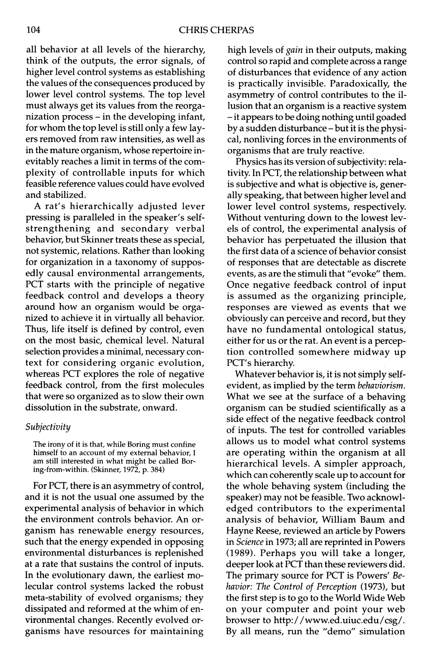all behavior at all levels of the hierarchy, think of the outputs, the error signals, of higher level control systems as establishing the values of the consequences produced by lower level control systems. The top level must always get its values from the reorganization process - in the developing infant, for whom the top level is still only <sup>a</sup> few layers removed from raw intensities, as well as in the mature organism, whose repertoire inevitably reaches a limit in terms of the complexity of controllable inputs for which feasible reference values could have evolved and stabilized.

A rat's hierarchically adjusted lever pressing is paralleled in the speaker's selfstrengthening and secondary verbal behavior, but Skinner treats these as special, not systemic, relations. Rather than looking for organization in a taxonomy of supposedly causal environmental arrangements, PCT starts with the principle of negative feedback control and develops a theory around how an organism would be organized to achieve it in virtually all behavior. Thus, life itself is defined by control, even on the most basic, chemical level. Natural selection provides a minimal, necessary context for considering organic evolution, whereas PCT explores the role of negative feedback control, from the first molecules that were so organized as to slow their own dissolution in the substrate, onward.

### Subjectivity

The irony of it is that, while Boring must confine himself to an account of my external behavior, <sup>I</sup> am still interested in what might be called Boring-from-within. (Skinner, 1972, p. 384)

For PCT, there is an asymmetry of control, and it is not the usual one assumed by the experimental analysis of behavior in which the environment controls behavior. An organism has renewable energy resources, such that the energy expended in opposing environmental disturbances is replenished at a rate that sustains the control of inputs. In the evolutionary dawn, the earliest molecular control systems lacked the robust meta-stability of evolved organisms; they dissipated and reformed at the whim of environmental changes. Recently evolved organisms have resources for maintaining

high levels of gain in their outputs, making control so rapid and complete across a range of disturbances that evidence of any action is practically invisible. Paradoxically, the asymmetry of control contributes to the illusion that an organism is a reactive system - it appears to be doing nothing until goaded by a sudden disturbance - but it is the physical, nonliving forces in the environments of organisms that are truly reactive.

Physics has its version of subjectivity: relativity. In PCT, the relationship between what is subjective and what is objective is, generally speaking, that between higher level and lower level control systems, respectively. Without venturing down to the lowest levels of control, the experimental analysis of behavior has perpetuated the illusion that the first data of a science of behavior consist of responses that are detectable as discrete events, as are the stimuli that "evoke" them. Once negative feedback control of input is assumed as the organizing principle, responses are viewed as events that we obviously can perceive and record, but they have no fundamental ontological status, either for us or the rat. An event is <sup>a</sup> perception controlled somewhere midway up PCT's hierarchy.

Whatever behavior is, it is not simply selfevident, as implied by the term behaviorism. What we see at the surface of a behaving organism can be studied scientifically as a side effect of the negative feedback control of inputs. The test for controlled variables allows us to model what control systems are operating within the organism at all hierarchical levels. A simpler approach, which can coherently scale up to account for the whole behaving system (including the speaker) may not be feasible. Two acknowledged contributors to the experimental analysis of behavior, William Baum and Hayne Reese, reviewed an article by Powers in Science in 1973; all are reprinted in Powers (1989). Perhaps you will take a longer, deeper look at PCT than these reviewers did. The primary source for PCT is Powers' Behavior: The Control of Perception (1973), but the first step is to go to the World Wide Web on your computer and point your web browser to http://www.ed.uiuc.edu/csg/. By all means, run the "demo" simulation